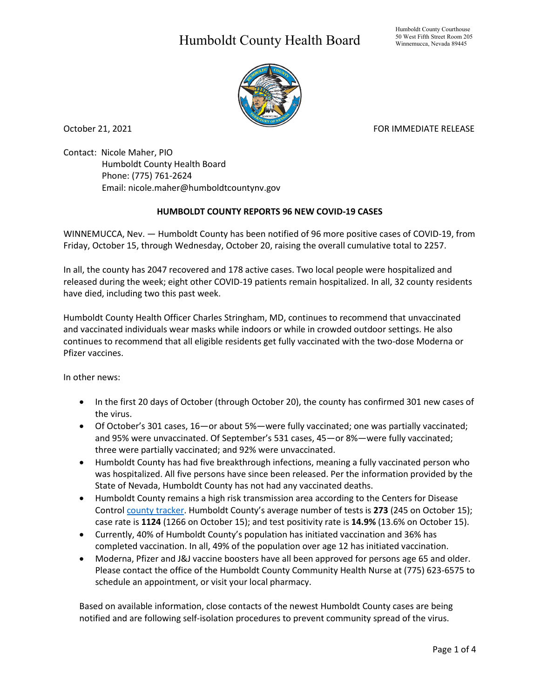## Humboldt County Health Board



October 21, 2021 **FOR IMMEDIATE RELEASE** 

Contact: Nicole Maher, PIO Humboldt County Health Board Phone: (775) 761-2624 Email: nicole.maher@humboldtcountynv.gov

## **HUMBOLDT COUNTY REPORTS 96 NEW COVID-19 CASES**

WINNEMUCCA, Nev. — Humboldt County has been notified of 96 more positive cases of COVID-19, from Friday, October 15, through Wednesday, October 20, raising the overall cumulative total to 2257.

In all, the county has 2047 recovered and 178 active cases. Two local people were hospitalized and released during the week; eight other COVID-19 patients remain hospitalized. In all, 32 county residents have died, including two this past week.

Humboldt County Health Officer Charles Stringham, MD, continues to recommend that unvaccinated and vaccinated individuals wear masks while indoors or while in crowded outdoor settings. He also continues to recommend that all eligible residents get fully vaccinated with the two-dose Moderna or Pfizer vaccines.

In other news:

- In the first 20 days of October (through October 20), the county has confirmed 301 new cases of the virus.
- Of October's 301 cases, 16—or about 5%—were fully vaccinated; one was partially vaccinated; and 95% were unvaccinated. Of September's 531 cases, 45—or 8%—were fully vaccinated; three were partially vaccinated; and 92% were unvaccinated.
- Humboldt County has had five breakthrough infections, meaning a fully vaccinated person who was hospitalized. All five persons have since been released. Per the information provided by the State of Nevada, Humboldt County has not had any vaccinated deaths.
- Humboldt County remains a high risk transmission area according to the Centers for Disease Control [county tracker.](https://covid.cdc.gov/covid-data-tracker/#county-view) Humboldt County's average number of tests is **273** (245 on October 15); case rate is **1124** (1266 on October 15); and test positivity rate is **14.9%** (13.6% on October 15).
- Currently, 40% of Humboldt County's population has initiated vaccination and 36% has completed vaccination. In all, 49% of the population over age 12 has initiated vaccination.
- Moderna, Pfizer and J&J vaccine boosters have all been approved for persons age 65 and older. Please contact the office of the Humboldt County Community Health Nurse at (775) 623-6575 to schedule an appointment, or visit your local pharmacy.

Based on available information, close contacts of the newest Humboldt County cases are being notified and are following self-isolation procedures to prevent community spread of the virus.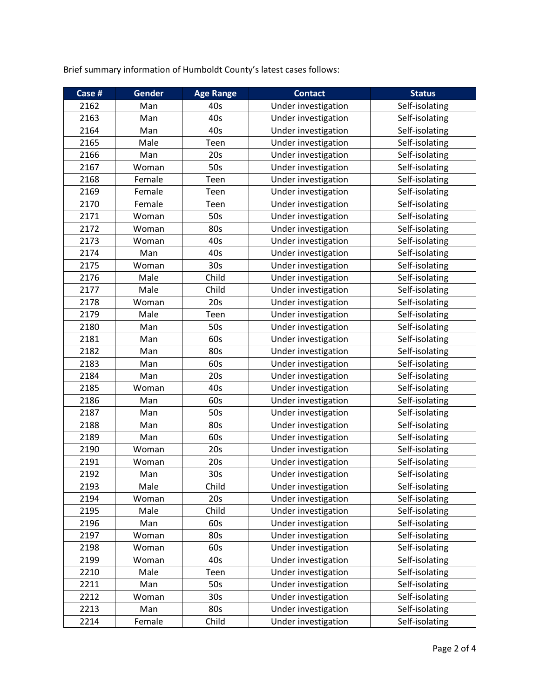Brief summary information of Humboldt County's latest cases follows:

| Case # | Gender | <b>Age Range</b> | <b>Contact</b>      | <b>Status</b>  |
|--------|--------|------------------|---------------------|----------------|
| 2162   | Man    | 40s              | Under investigation | Self-isolating |
| 2163   | Man    | 40s              | Under investigation | Self-isolating |
| 2164   | Man    | 40s              | Under investigation | Self-isolating |
| 2165   | Male   | Teen             | Under investigation | Self-isolating |
| 2166   | Man    | 20s              | Under investigation | Self-isolating |
| 2167   | Woman  | 50s              | Under investigation | Self-isolating |
| 2168   | Female | Teen             | Under investigation | Self-isolating |
| 2169   | Female | Teen             | Under investigation | Self-isolating |
| 2170   | Female | Teen             | Under investigation | Self-isolating |
| 2171   | Woman  | 50s              | Under investigation | Self-isolating |
| 2172   | Woman  | 80s              | Under investigation | Self-isolating |
| 2173   | Woman  | 40s              | Under investigation | Self-isolating |
| 2174   | Man    | 40s              | Under investigation | Self-isolating |
| 2175   | Woman  | 30 <sub>s</sub>  | Under investigation | Self-isolating |
| 2176   | Male   | Child            | Under investigation | Self-isolating |
| 2177   | Male   | Child            | Under investigation | Self-isolating |
| 2178   | Woman  | 20s              | Under investigation | Self-isolating |
| 2179   | Male   | Teen             | Under investigation | Self-isolating |
| 2180   | Man    | 50s              | Under investigation | Self-isolating |
| 2181   | Man    | 60s              | Under investigation | Self-isolating |
| 2182   | Man    | 80s              | Under investigation | Self-isolating |
| 2183   | Man    | 60s              | Under investigation | Self-isolating |
| 2184   | Man    | 20s              | Under investigation | Self-isolating |
| 2185   | Woman  | 40s              | Under investigation | Self-isolating |
| 2186   | Man    | 60s              | Under investigation | Self-isolating |
| 2187   | Man    | 50s              | Under investigation | Self-isolating |
| 2188   | Man    | 80s              | Under investigation | Self-isolating |
| 2189   | Man    | 60s              | Under investigation | Self-isolating |
| 2190   | Woman  | 20s              | Under investigation | Self-isolating |
| 2191   | Woman  | 20s              | Under investigation | Self-isolating |
| 2192   | Man    | 30 <sub>s</sub>  | Under investigation | Self-isolating |
| 2193   | Male   | Child            | Under investigation | Self-isolating |
| 2194   | Woman  | 20s              | Under investigation | Self-isolating |
| 2195   | Male   | Child            | Under investigation | Self-isolating |
| 2196   | Man    | 60s              | Under investigation | Self-isolating |
| 2197   | Woman  | 80s              | Under investigation | Self-isolating |
| 2198   | Woman  | 60s              | Under investigation | Self-isolating |
| 2199   | Woman  | 40s              | Under investigation | Self-isolating |
| 2210   | Male   | Teen             | Under investigation | Self-isolating |
| 2211   | Man    | 50s              | Under investigation | Self-isolating |
| 2212   | Woman  | 30 <sub>s</sub>  | Under investigation | Self-isolating |
| 2213   | Man    | 80s              | Under investigation | Self-isolating |
| 2214   | Female | Child            | Under investigation | Self-isolating |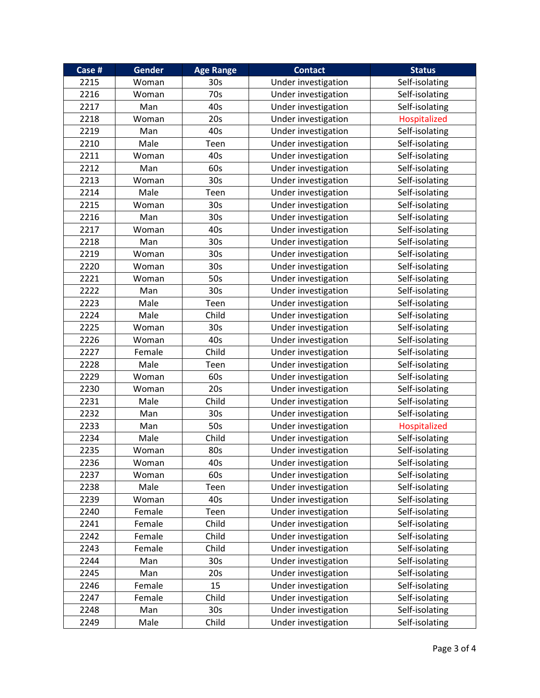| Case # | <b>Gender</b> | <b>Age Range</b> | <b>Contact</b>      | <b>Status</b>  |
|--------|---------------|------------------|---------------------|----------------|
| 2215   | Woman         | 30s              | Under investigation | Self-isolating |
| 2216   | Woman         | 70s              | Under investigation | Self-isolating |
| 2217   | Man           | 40s              | Under investigation | Self-isolating |
| 2218   | Woman         | 20s              | Under investigation | Hospitalized   |
| 2219   | Man           | 40s              | Under investigation | Self-isolating |
| 2210   | Male          | Teen             | Under investigation | Self-isolating |
| 2211   | Woman         | 40s              | Under investigation | Self-isolating |
| 2212   | Man           | 60s              | Under investigation | Self-isolating |
| 2213   | Woman         | 30s              | Under investigation | Self-isolating |
| 2214   | Male          | Teen             | Under investigation | Self-isolating |
| 2215   | Woman         | 30s              | Under investigation | Self-isolating |
| 2216   | Man           | 30 <sub>s</sub>  | Under investigation | Self-isolating |
| 2217   | Woman         | 40s              | Under investigation | Self-isolating |
| 2218   | Man           | 30 <sub>s</sub>  | Under investigation | Self-isolating |
| 2219   | Woman         | 30s              | Under investigation | Self-isolating |
| 2220   | Woman         | 30 <sub>s</sub>  | Under investigation | Self-isolating |
| 2221   | Woman         | 50s              | Under investigation | Self-isolating |
| 2222   | Man           | 30s              | Under investigation | Self-isolating |
| 2223   | Male          | Teen             | Under investigation | Self-isolating |
| 2224   | Male          | Child            | Under investigation | Self-isolating |
| 2225   | Woman         | 30 <sub>s</sub>  | Under investigation | Self-isolating |
| 2226   | Woman         | 40s              | Under investigation | Self-isolating |
| 2227   | Female        | Child            | Under investigation | Self-isolating |
| 2228   | Male          | Teen             | Under investigation | Self-isolating |
| 2229   | Woman         | 60s              | Under investigation | Self-isolating |
| 2230   | Woman         | 20s              | Under investigation | Self-isolating |
| 2231   | Male          | Child            | Under investigation | Self-isolating |
| 2232   | Man           | 30 <sub>s</sub>  | Under investigation | Self-isolating |
| 2233   | Man           | 50s              | Under investigation | Hospitalized   |
| 2234   | Male          | Child            | Under investigation | Self-isolating |
| 2235   | Woman         | 80s              | Under investigation | Self-isolating |
| 2236   | Woman         | 40s              | Under investigation | Self-isolating |
| 2237   | Woman         | 60s              | Under investigation | Self-isolating |
| 2238   | Male          | Teen             | Under investigation | Self-isolating |
| 2239   | Woman         | 40s              | Under investigation | Self-isolating |
| 2240   | Female        | Teen             | Under investigation | Self-isolating |
| 2241   | Female        | Child            | Under investigation | Self-isolating |
| 2242   | Female        | Child            | Under investigation | Self-isolating |
| 2243   | Female        | Child            | Under investigation | Self-isolating |
| 2244   | Man           | 30 <sub>s</sub>  | Under investigation | Self-isolating |
| 2245   | Man           | 20s              | Under investigation | Self-isolating |
| 2246   | Female        | 15               | Under investigation | Self-isolating |
| 2247   | Female        | Child            | Under investigation | Self-isolating |
| 2248   | Man           | 30 <sub>s</sub>  | Under investigation | Self-isolating |
| 2249   | Male          | Child            | Under investigation | Self-isolating |